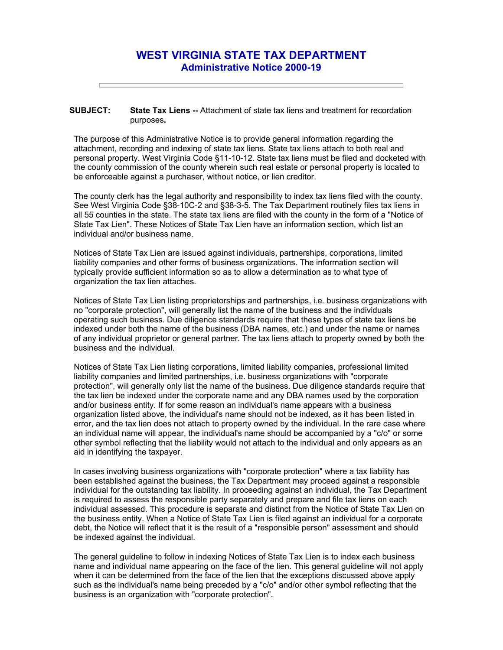## **WEST VIRGINIA STATE TAX DEPARTMENT Administrative Notice 2000-19**

## **SUBJECT: State Tax Liens --** Attachment of state tax liens and treatment for recordation purposes**.**

The purpose of this Administrative Notice is to provide general information regarding the attachment, recording and indexing of state tax liens. State tax liens attach to both real and personal property. West Virginia Code §11-10-12. State tax liens must be filed and docketed with the county commission of the county wherein such real estate or personal property is located to be enforceable against a purchaser, without notice, or lien creditor.

The county clerk has the legal authority and responsibility to index tax liens filed with the county. See West Virginia Code §38-10C-2 and §38-3-5. The Tax Department routinely files tax liens in all 55 counties in the state. The state tax liens are filed with the county in the form of a "Notice of State Tax Lien". These Notices of State Tax Lien have an information section, which list an individual and/or business name.

Notices of State Tax Lien are issued against individuals, partnerships, corporations, limited liability companies and other forms of business organizations. The information section will typically provide sufficient information so as to allow a determination as to what type of organization the tax lien attaches.

Notices of State Tax Lien listing proprietorships and partnerships, i.e. business organizations with no "corporate protection", will generally list the name of the business and the individuals operating such business. Due diligence standards require that these types of state tax liens be indexed under both the name of the business (DBA names, etc.) and under the name or names of any individual proprietor or general partner. The tax liens attach to property owned by both the business and the individual.

Notices of State Tax Lien listing corporations, limited liability companies, professional limited liability companies and limited partnerships, i.e. business organizations with "corporate protection", will generally only list the name of the business. Due diligence standards require that the tax lien be indexed under the corporate name and any DBA names used by the corporation and/or business entity. If for some reason an individual's name appears with a business organization listed above, the individual's name should not be indexed, as it has been listed in error, and the tax lien does not attach to property owned by the individual. In the rare case where an individual name will appear, the individual's name should be accompanied by a "c/o" or some other symbol reflecting that the liability would not attach to the individual and only appears as an aid in identifying the taxpayer.

In cases involving business organizations with "corporate protection" where a tax liability has been established against the business, the Tax Department may proceed against a responsible individual for the outstanding tax liability. In proceeding against an individual, the Tax Department is required to assess the responsible party separately and prepare and file tax liens on each individual assessed. This procedure is separate and distinct from the Notice of State Tax Lien on the business entity. When a Notice of State Tax Lien is filed against an individual for a corporate debt, the Notice will reflect that it is the result of a "responsible person" assessment and should be indexed against the individual.

The general guideline to follow in indexing Notices of State Tax Lien is to index each business name and individual name appearing on the face of the lien. This general guideline will not apply when it can be determined from the face of the lien that the exceptions discussed above apply such as the individual's name being preceded by a "c/o" and/or other symbol reflecting that the business is an organization with "corporate protection".